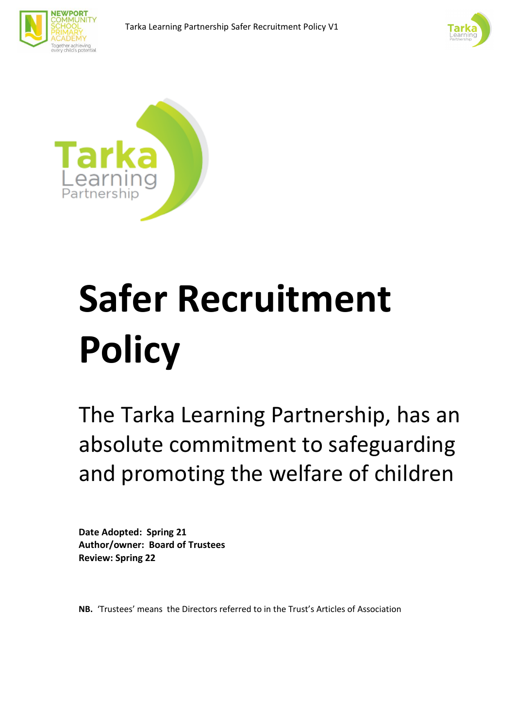





# **Safer Recruitment Policy**

The Tarka Learning Partnership, has an absolute commitment to safeguarding and promoting the welfare of children

**Date Adopted: Spring 21 Author/owner: Board of Trustees Review: Spring 22** 

**NB.** 'Trustees' means the Directors referred to in the Trust's Articles of Association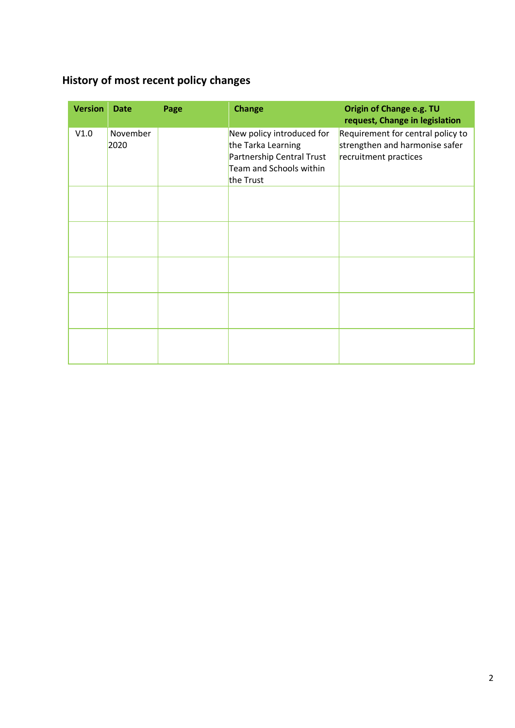# <span id="page-1-0"></span>**History of most recent policy changes**

| <b>Version</b> | <b>Date</b>      | Page | <b>Change</b>                                                                                                        | Origin of Change e.g. TU<br>request, Change in legislation                                   |
|----------------|------------------|------|----------------------------------------------------------------------------------------------------------------------|----------------------------------------------------------------------------------------------|
| V1.0           | November<br>2020 |      | New policy introduced for<br>the Tarka Learning<br>Partnership Central Trust<br>Team and Schools within<br>the Trust | Requirement for central policy to<br>strengthen and harmonise safer<br>recruitment practices |
|                |                  |      |                                                                                                                      |                                                                                              |
|                |                  |      |                                                                                                                      |                                                                                              |
|                |                  |      |                                                                                                                      |                                                                                              |
|                |                  |      |                                                                                                                      |                                                                                              |
|                |                  |      |                                                                                                                      |                                                                                              |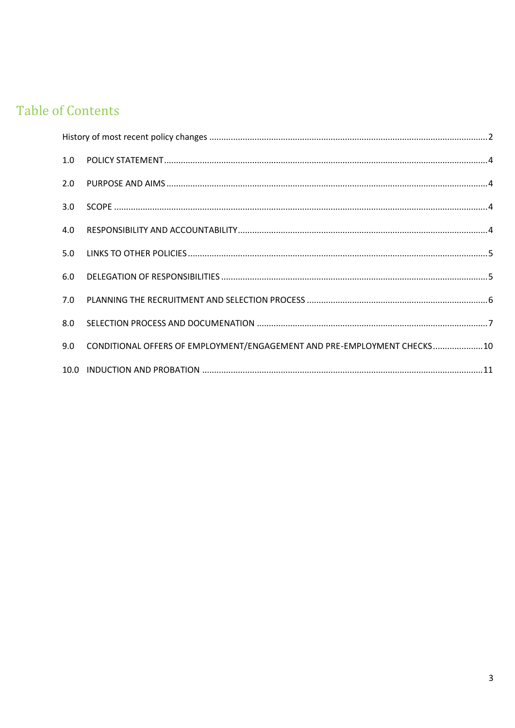# **Table of Contents**

| 1.0 |                                                                         |  |
|-----|-------------------------------------------------------------------------|--|
| 2.0 |                                                                         |  |
| 3.0 |                                                                         |  |
| 4.0 |                                                                         |  |
| 5.0 |                                                                         |  |
| 6.0 |                                                                         |  |
| 7.0 |                                                                         |  |
| 8.0 |                                                                         |  |
| 9.0 | CONDITIONAL OFFERS OF EMPLOYMENT/ENGAGEMENT AND PRE-EMPLOYMENT CHECKS10 |  |
|     |                                                                         |  |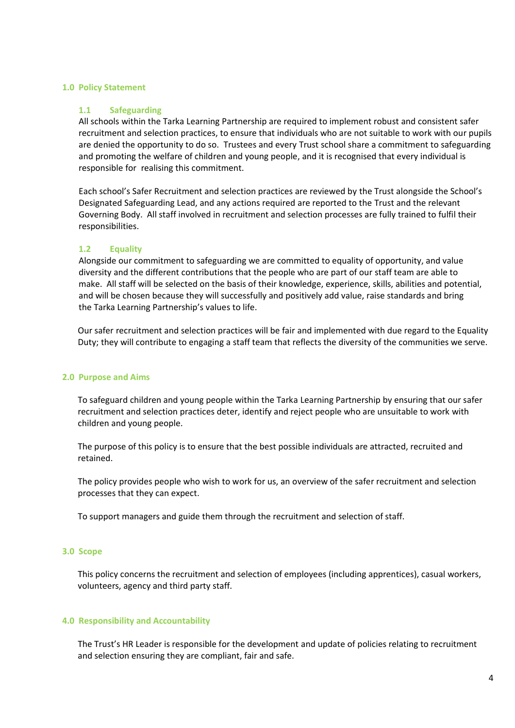#### <span id="page-3-0"></span>**1.0 Policy Statement**

#### **1.1 Safeguarding**

All schools within the Tarka Learning Partnership are required to implement robust and consistent safer recruitment and selection practices, to ensure that individuals who are not suitable to work with our pupils are denied the opportunity to do so. Trustees and every Trust school share a commitment to safeguarding and promoting the welfare of children and young people, and it is recognised that every individual is responsible for realising this commitment.

Each school's Safer Recruitment and selection practices are reviewed by the Trust alongside the School's Designated Safeguarding Lead, and any actions required are reported to the Trust and the relevant Governing Body. All staff involved in recruitment and selection processes are fully trained to fulfil their responsibilities.

#### **1.2 Equality**

Alongside our commitment to safeguarding we are committed to equality of opportunity, and value diversity and the different contributions that the people who are part of our staff team are able to make. All staff will be selected on the basis of their knowledge, experience, skills, abilities and potential, and will be chosen because they will successfully and positively add value, raise standards and bring the Tarka Learning Partnership's values to life.

Our safer recruitment and selection practices will be fair and implemented with due regard to the Equality Duty; they will contribute to engaging a staff team that reflects the diversity of the communities we serve.

#### <span id="page-3-1"></span>**2.0 Purpose and Aims**

To safeguard children and young people within the Tarka Learning Partnership by ensuring that our safer recruitment and selection practices deter, identify and reject people who are unsuitable to work with children and young people.

The purpose of this policy is to ensure that the best possible individuals are attracted, recruited and retained.

The policy provides people who wish to work for us, an overview of the safer recruitment and selection processes that they can expect.

To support managers and guide them through the recruitment and selection of staff.

#### <span id="page-3-2"></span>**3.0 Scope**

This policy concerns the recruitment and selection of employees (including apprentices), casual workers, volunteers, agency and third party staff.

#### <span id="page-3-3"></span>**4.0 Responsibility and Accountability**

The Trust's HR Leader is responsible for the development and update of policies relating to recruitment and selection ensuring they are compliant, fair and safe.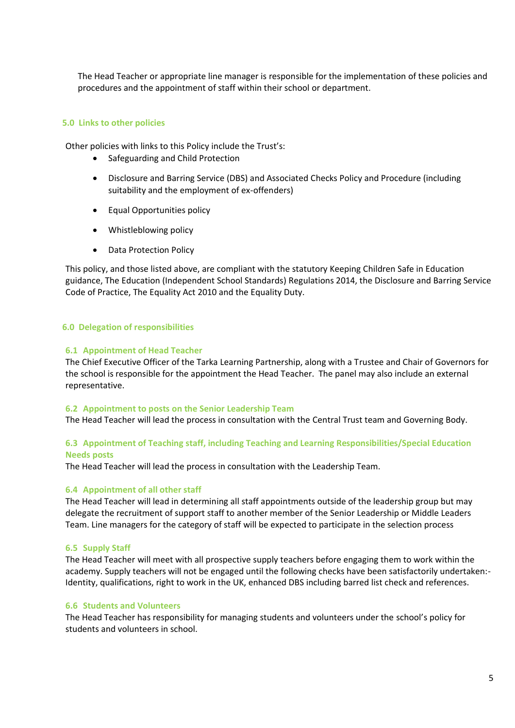The Head Teacher or appropriate line manager is responsible for the implementation of these policies and procedures and the appointment of staff within their school or department.

#### <span id="page-4-0"></span>**5.0 Links to other policies**

Other policies with links to this Policy include the Trust's:

- Safeguarding and Child Protection
- Disclosure and Barring Service (DBS) and Associated Checks Policy and Procedure (including suitability and the employment of ex-offenders)
- Equal Opportunities policy
- Whistleblowing policy
- Data Protection Policy

This policy, and those listed above, are compliant with the statutory Keeping Children Safe in Education guidance, The Education (Independent School Standards) Regulations 2014, the Disclosure and Barring Service Code of Practice, The Equality Act 2010 and the Equality Duty.

#### <span id="page-4-1"></span>**6.0 Delegation of responsibilities**

#### **6.1 Appointment of Head Teacher**

The Chief Executive Officer of the Tarka Learning Partnership, along with a Trustee and Chair of Governors for the school is responsible for the appointment the Head Teacher. The panel may also include an external representative.

#### **6.2 Appointment to posts on the Senior Leadership Team**

The Head Teacher will lead the process in consultation with the Central Trust team and Governing Body.

#### **6.3 Appointment of Teaching staff, including Teaching and Learning Responsibilities/Special Education Needs posts**

The Head Teacher will lead the process in consultation with the Leadership Team.

#### **6.4 Appointment of all other staff**

The Head Teacher will lead in determining all staff appointments outside of the leadership group but may delegate the recruitment of support staff to another member of the Senior Leadership or Middle Leaders Team. Line managers for the category of staff will be expected to participate in the selection process

#### **6.5 Supply Staff**

The Head Teacher will meet with all prospective supply teachers before engaging them to work within the academy. Supply teachers will not be engaged until the following checks have been satisfactorily undertaken:- Identity, qualifications, right to work in the UK, enhanced DBS including barred list check and references.

#### **6.6 Students and Volunteers**

The Head Teacher has responsibility for managing students and volunteers under the school's policy for students and volunteers in school.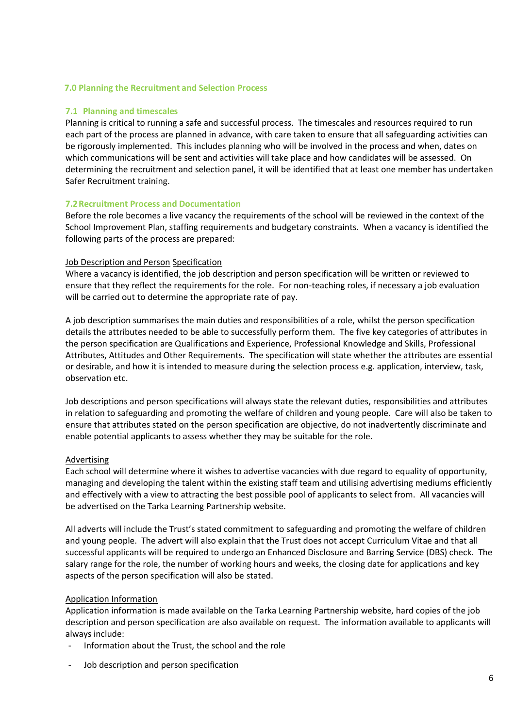### <span id="page-5-0"></span>**7.0 Planning the Recruitment and Selection Process**

### **7.1 Planning and timescales**

Planning is critical to running a safe and successful process. The timescales and resources required to run each part of the process are planned in advance, with care taken to ensure that all safeguarding activities can be rigorously implemented. This includes planning who will be involved in the process and when, dates on which communications will be sent and activities will take place and how candidates will be assessed. On determining the recruitment and selection panel, it will be identified that at least one member has undertaken Safer Recruitment training.

# **7.2Recruitment Process and Documentation**

Before the role becomes a live vacancy the requirements of the school will be reviewed in the context of the School Improvement Plan, staffing requirements and budgetary constraints. When a vacancy is identified the following parts of the process are prepared:

# Job Description and Person Specification

Where a vacancy is identified, the job description and person specification will be written or reviewed to ensure that they reflect the requirements for the role. For non-teaching roles, if necessary a job evaluation will be carried out to determine the appropriate rate of pay.

A job description summarises the main duties and responsibilities of a role, whilst the person specification details the attributes needed to be able to successfully perform them. The five key categories of attributes in the person specification are Qualifications and Experience, Professional Knowledge and Skills, Professional Attributes, Attitudes and Other Requirements. The specification will state whether the attributes are essential or desirable, and how it is intended to measure during the selection process e.g. application, interview, task, observation etc.

Job descriptions and person specifications will always state the relevant duties, responsibilities and attributes in relation to safeguarding and promoting the welfare of children and young people. Care will also be taken to ensure that attributes stated on the person specification are objective, do not inadvertently discriminate and enable potential applicants to assess whether they may be suitable for the role.

# Advertising

Each school will determine where it wishes to advertise vacancies with due regard to equality of opportunity, managing and developing the talent within the existing staff team and utilising advertising mediums efficiently and effectively with a view to attracting the best possible pool of applicants to select from. All vacancies will be advertised on the Tarka Learning Partnership website.

All adverts will include the Trust's stated commitment to safeguarding and promoting the welfare of children and young people. The advert will also explain that the Trust does not accept Curriculum Vitae and that all successful applicants will be required to undergo an Enhanced Disclosure and Barring Service (DBS) check. The salary range for the role, the number of working hours and weeks, the closing date for applications and key aspects of the person specification will also be stated.

# Application Information

Application information is made available on the Tarka Learning Partnership website, hard copies of the job description and person specification are also available on request. The information available to applicants will always include:

- Information about the Trust, the school and the role
- Job description and person specification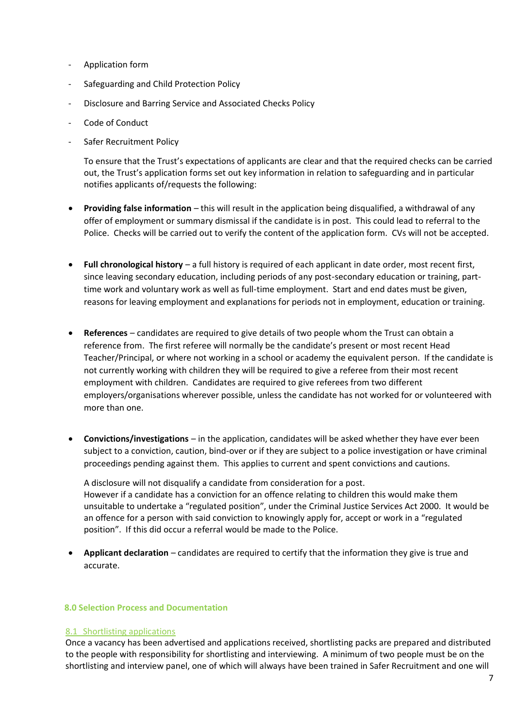- Application form
- Safeguarding and Child Protection Policy
- Disclosure and Barring Service and Associated Checks Policy
- Code of Conduct
- Safer Recruitment Policy

To ensure that the Trust's expectations of applicants are clear and that the required checks can be carried out, the Trust's application forms set out key information in relation to safeguarding and in particular notifies applicants of/requests the following:

- **Providing false information** this will result in the application being disqualified, a withdrawal of any offer of employment or summary dismissal if the candidate is in post. This could lead to referral to the Police. Checks will be carried out to verify the content of the application form. CVs will not be accepted.
- **Full chronological history** a full history is required of each applicant in date order, most recent first, since leaving secondary education, including periods of any post-secondary education or training, parttime work and voluntary work as well as full-time employment. Start and end dates must be given, reasons for leaving employment and explanations for periods not in employment, education or training.
- **References**  candidates are required to give details of two people whom the Trust can obtain a reference from. The first referee will normally be the candidate's present or most recent Head Teacher/Principal, or where not working in a school or academy the equivalent person. If the candidate is not currently working with children they will be required to give a referee from their most recent employment with children. Candidates are required to give referees from two different employers/organisations wherever possible, unless the candidate has not worked for or volunteered with more than one.
- **Convictions/investigations** in the application, candidates will be asked whether they have ever been subject to a conviction, caution, bind-over or if they are subject to a police investigation or have criminal proceedings pending against them. This applies to current and spent convictions and cautions.

A disclosure will not disqualify a candidate from consideration for a post. However if a candidate has a conviction for an offence relating to children this would make them unsuitable to undertake a "regulated position", under the Criminal Justice Services Act 2000. It would be an offence for a person with said conviction to knowingly apply for, accept or work in a "regulated position". If this did occur a referral would be made to the Police.

• **Applicant declaration** – candidates are required to certify that the information they give is true and accurate.

#### <span id="page-6-0"></span>**8.0 Selection Process and Documentation**

#### 8.1 Shortlisting applications

Once a vacancy has been advertised and applications received, shortlisting packs are prepared and distributed to the people with responsibility for shortlisting and interviewing. A minimum of two people must be on the shortlisting and interview panel, one of which will always have been trained in Safer Recruitment and one will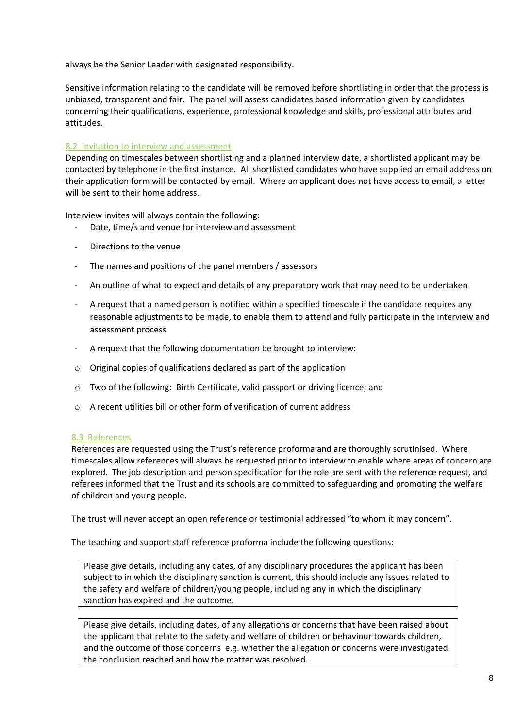always be the Senior Leader with designated responsibility.

Sensitive information relating to the candidate will be removed before shortlisting in order that the process is unbiased, transparent and fair. The panel will assess candidates based information given by candidates concerning their qualifications, experience, professional knowledge and skills, professional attributes and attitudes.

# 8.2 Invitation to interview and assessment

Depending on timescales between shortlisting and a planned interview date, a shortlisted applicant may be contacted by telephone in the first instance. All shortlisted candidates who have supplied an email address on their application form will be contacted by email. Where an applicant does not have access to email, a letter will be sent to their home address.

Interview invites will always contain the following:

- Date, time/s and venue for interview and assessment
- Directions to the venue
- The names and positions of the panel members / assessors
- An outline of what to expect and details of any preparatory work that may need to be undertaken
- A request that a named person is notified within a specified timescale if the candidate requires any reasonable adjustments to be made, to enable them to attend and fully participate in the interview and assessment process
- A request that the following documentation be brought to interview:
- o Original copies of qualifications declared as part of the application
- o Two of the following: Birth Certificate, valid passport or driving licence; and
- $\circ$  A recent utilities bill or other form of verification of current address

#### 8.3 References

References are requested using the Trust's reference proforma and are thoroughly scrutinised. Where timescales allow references will always be requested prior to interview to enable where areas of concern are explored. The job description and person specification for the role are sent with the reference request, and referees informed that the Trust and its schools are committed to safeguarding and promoting the welfare of children and young people.

The trust will never accept an open reference or testimonial addressed "to whom it may concern".

The teaching and support staff reference proforma include the following questions:

Please give details, including any dates, of any disciplinary procedures the applicant has been subject to in which the disciplinary sanction is current, this should include any issues related to the safety and welfare of children/young people, including any in which the disciplinary sanction has expired and the outcome.

Please give details, including dates, of any allegations or concerns that have been raised about the applicant that relate to the safety and welfare of children or behaviour towards children, and the outcome of those concerns e.g. whether the allegation or concerns were investigated, the conclusion reached and how the matter was resolved.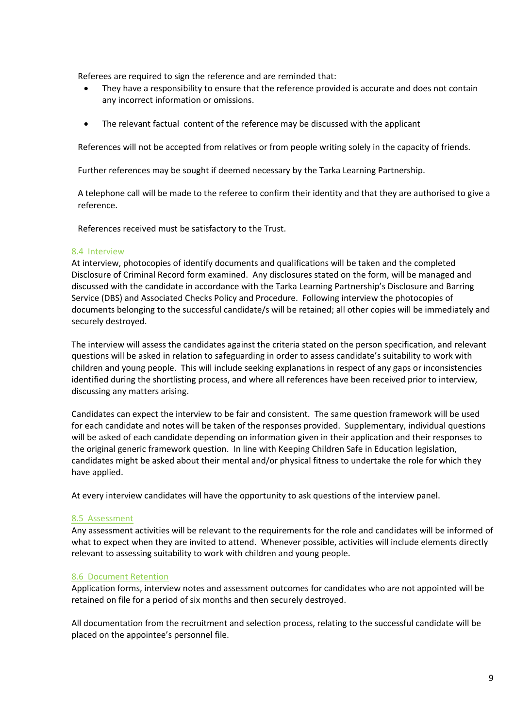Referees are required to sign the reference and are reminded that:

- They have a responsibility to ensure that the reference provided is accurate and does not contain any incorrect information or omissions.
- The relevant factual content of the reference may be discussed with the applicant

References will not be accepted from relatives or from people writing solely in the capacity of friends.

Further references may be sought if deemed necessary by the Tarka Learning Partnership.

A telephone call will be made to the referee to confirm their identity and that they are authorised to give a reference.

References received must be satisfactory to the Trust.

#### 8.4 Interview

At interview, photocopies of identify documents and qualifications will be taken and the completed Disclosure of Criminal Record form examined. Any disclosures stated on the form, will be managed and discussed with the candidate in accordance with the Tarka Learning Partnership's Disclosure and Barring Service (DBS) and Associated Checks Policy and Procedure. Following interview the photocopies of documents belonging to the successful candidate/s will be retained; all other copies will be immediately and securely destroyed.

The interview will assess the candidates against the criteria stated on the person specification, and relevant questions will be asked in relation to safeguarding in order to assess candidate's suitability to work with children and young people. This will include seeking explanations in respect of any gaps or inconsistencies identified during the shortlisting process, and where all references have been received prior to interview, discussing any matters arising.

Candidates can expect the interview to be fair and consistent. The same question framework will be used for each candidate and notes will be taken of the responses provided. Supplementary, individual questions will be asked of each candidate depending on information given in their application and their responses to the original generic framework question. In line with Keeping Children Safe in Education legislation, candidates might be asked about their mental and/or physical fitness to undertake the role for which they have applied.

At every interview candidates will have the opportunity to ask questions of the interview panel.

#### 8.5 Assessment

Any assessment activities will be relevant to the requirements for the role and candidates will be informed of what to expect when they are invited to attend. Whenever possible, activities will include elements directly relevant to assessing suitability to work with children and young people.

#### 8.6 Document Retention

Application forms, interview notes and assessment outcomes for candidates who are not appointed will be retained on file for a period of six months and then securely destroyed.

All documentation from the recruitment and selection process, relating to the successful candidate will be placed on the appointee's personnel file.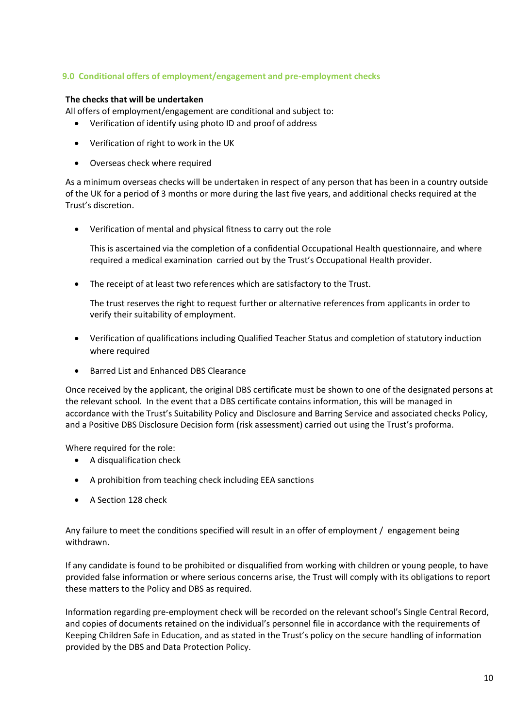# <span id="page-9-0"></span>**9.0 Conditional offers of employment/engagement and pre-employment checks**

# **The checks that will be undertaken**

All offers of employment/engagement are conditional and subject to:

- Verification of identify using photo ID and proof of address
- Verification of right to work in the UK
- Overseas check where required

As a minimum overseas checks will be undertaken in respect of any person that has been in a country outside of the UK for a period of 3 months or more during the last five years, and additional checks required at the Trust's discretion.

• Verification of mental and physical fitness to carry out the role

This is ascertained via the completion of a confidential Occupational Health questionnaire, and where required a medical examination carried out by the Trust's Occupational Health provider.

The receipt of at least two references which are satisfactory to the Trust.

The trust reserves the right to request further or alternative references from applicants in order to verify their suitability of employment.

- Verification of qualifications including Qualified Teacher Status and completion of statutory induction where required
- Barred List and Enhanced DBS Clearance

Once received by the applicant, the original DBS certificate must be shown to one of the designated persons at the relevant school. In the event that a DBS certificate contains information, this will be managed in accordance with the Trust's Suitability Policy and Disclosure and Barring Service and associated checks Policy, and a Positive DBS Disclosure Decision form (risk assessment) carried out using the Trust's proforma.

Where required for the role:

- A disqualification check
- A prohibition from teaching check including EEA sanctions
- A Section 128 check

Any failure to meet the conditions specified will result in an offer of employment / engagement being withdrawn.

If any candidate is found to be prohibited or disqualified from working with children or young people, to have provided false information or where serious concerns arise, the Trust will comply with its obligations to report these matters to the Policy and DBS as required.

Information regarding pre-employment check will be recorded on the relevant school's Single Central Record, and copies of documents retained on the individual's personnel file in accordance with the requirements of Keeping Children Safe in Education, and as stated in the Trust's policy on the secure handling of information provided by the DBS and Data Protection Policy.